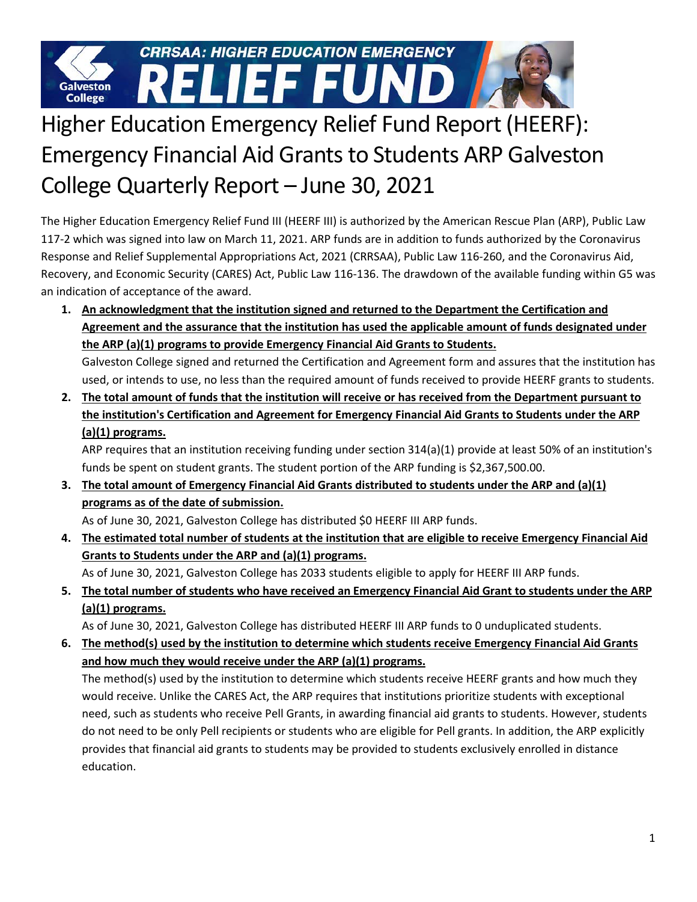

## Higher Education Emergency Relief Fund Report (HEERF): Emergency Financial Aid Grants to Students ARP Galveston College Quarterly Report – June 30, 2021

The Higher Education Emergency Relief Fund III (HEERF III) is authorized by the American Rescue Plan (ARP), Public Law 117-2 which was signed into law on March 11, 2021. ARP funds are in addition to funds authorized by the Coronavirus Response and Relief Supplemental Appropriations Act, 2021 (CRRSAA), Public Law 116-260, and the Coronavirus Aid, Recovery, and Economic Security (CARES) Act, Public Law 116-136. The drawdown of the available funding within G5 was an indication of acceptance of the award.

**1. An acknowledgment that the institution signed and returned to the Department the Certification and Agreement and the assurance that the institution has used the applicable amount of funds designated under the ARP (a)(1) programs to provide Emergency Financial Aid Grants to Students.**

Galveston College signed and returned the Certification and Agreement form and assures that the institution has used, or intends to use, no less than the required amount of funds received to provide HEERF grants to students.

**2. The total amount of funds that the institution will receive or has received from the Department pursuant to the institution's Certification and Agreement for Emergency Financial Aid Grants to Students under the ARP (a)(1) programs.** 

ARP requires that an institution receiving funding under section 314(a)(1) provide at least 50% of an institution's funds be spent on student grants. The student portion of the ARP funding is \$2,367,500.00.

**3. The total amount of Emergency Financial Aid Grants distributed to students under the ARP and (a)(1) programs as of the date of submission.**

As of June 30, 2021, Galveston College has distributed \$0 HEERF III ARP funds.

**4. The estimated total number of students at the institution that are eligible to receive Emergency Financial Aid Grants to Students under the ARP and (a)(1) programs.** 

As of June 30, 2021, Galveston College has 2033 students eligible to apply for HEERF III ARP funds.

**5. The total number of students who have received an Emergency Financial Aid Grant to students under the ARP (a)(1) programs.**

As of June 30, 2021, Galveston College has distributed HEERF III ARP funds to 0 unduplicated students.

**6. The method(s) used by the institution to determine which students receive Emergency Financial Aid Grants and how much they would receive under the ARP (a)(1) programs.** 

The method(s) used by the institution to determine which students receive HEERF grants and how much they would receive. Unlike the CARES Act, the ARP requires that institutions prioritize students with exceptional need, such as students who receive Pell Grants, in awarding financial aid grants to students. However, students do not need to be only Pell recipients or students who are eligible for Pell grants. In addition, the ARP explicitly provides that financial aid grants to students may be provided to students exclusively enrolled in distance education.